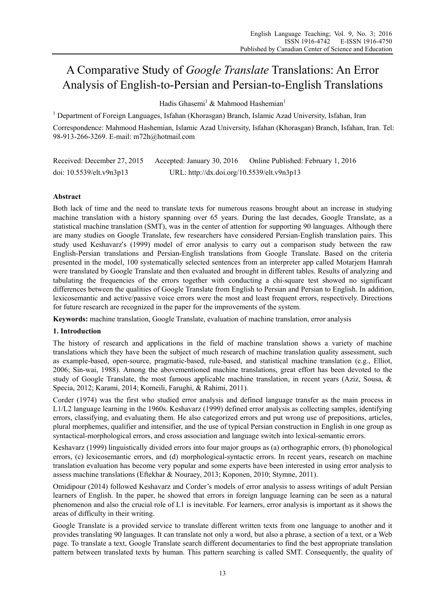# A Comparative Study of *Google Translate* Translations: An Error Analysis of English-to-Persian and Persian-to-English Translations

Hadis Ghasemi<sup>1</sup> & Mahmood Hashemian<sup>1</sup>

<sup>1</sup> Department of Foreign Languages, Isfahan (Khorasgan) Branch, Islamic Azad University, Isfahan, Iran Correspondence: Mahmood Hashemian, Islamic Azad University, Isfahan (Khorasgan) Branch, Isfahan, Iran. Tel: 98-913-266-3269. E-mail: m72h@hotmail.com

Received: December 27, 2015 Accepted: January 30, 2016 Online Published: February 1, 2016 doi: 10.5539/elt.v9n3p13 URL: http://dx.doi.org/10.5539/elt.v9n3p13

# **Abstract**

Both lack of time and the need to translate texts for numerous reasons brought about an increase in studying machine translation with a history spanning over 65 years. During the last decades, Google Translate, as a statistical machine translation (SMT), was in the center of attention for supporting 90 languages. Although there are many studies on Google Translate, few researchers have considered Persian-English translation pairs. This study used Keshavarz's (1999) model of error analysis to carry out a comparison study between the raw English-Persian translations and Persian-English translations from Google Translate. Based on the criteria presented in the model, 100 systematically selected sentences from an interpreter app called Motarjem Hamrah were translated by Google Translate and then evaluated and brought in different tables. Results of analyzing and tabulating the frequencies of the errors together with conducting a chi-square test showed no significant differences between the qualities of Google Translate from English to Persian and Persian to English. In addition, lexicosemantic and active/passive voice errors were the most and least frequent errors, respectively. Directions for future research are recognized in the paper for the improvements of the system.

**Keywords:** machine translation, Google Translate, evaluation of machine translation, error analysis

# **1. Introduction**

The history of research and applications in the field of machine translation shows a variety of machine translations which they have been the subject of much research of machine translation quality assessment, such as example-based, open-source, pragmatic-based, rule-based, and statistical machine translation (e.g., Elliot, 2006; Sin-wai, 1988). Among the abovementioned machine translations, great effort has been devoted to the study of Google Translate, the most famous applicable machine translation, in recent years (Aziz, Sousa, & Specia, 2012; Karami, 2014; Komeili, Farughi, & Rahimi, 2011).

Corder (1974) was the first who studied error analysis and defined language transfer as the main process in L1/L2 language learning in the 1960s. Keshavarz (1999) defined error analysis as collecting samples, identifying errors, classifying, and evaluating them. He also categorized errors and put wrong use of prepositions, articles, plural morphemes, qualifier and intensifier, and the use of typical Persian construction in English in one group as syntactical-morphological errors, and cross association and language switch into lexical-semantic errors.

Keshavarz (1999) linguistically divided errors into four major groups as (a) orthographic errors, (b) phonological errors, (c) lexicosemantic errors, and (d) morphological-syntactic errors. In recent years, research on machine translation evaluation has become very popular and some experts have been interested in using error analysis to assess machine translations (Eftekhar & Nouraey, 2013; Koponen, 2010; Stymne, 2011).

Omidipour (2014) followed Keshavarz and Corder's models of error analysis to assess writings of adult Persian learners of English. In the paper, he showed that errors in foreign language learning can be seen as a natural phenomenon and also the crucial role of L1 is inevitable. For learners, error analysis is important as it shows the areas of difficulty in their writing.

Google Translate is a provided service to translate different written texts from one language to another and it provides translating 90 languages. It can translate not only a word, but also a phrase, a section of a text, or a Web page. To translate a text, Google Translate search different documentaries to find the best appropriate translation pattern between translated texts by human. This pattern searching is called SMT. Consequently, the quality of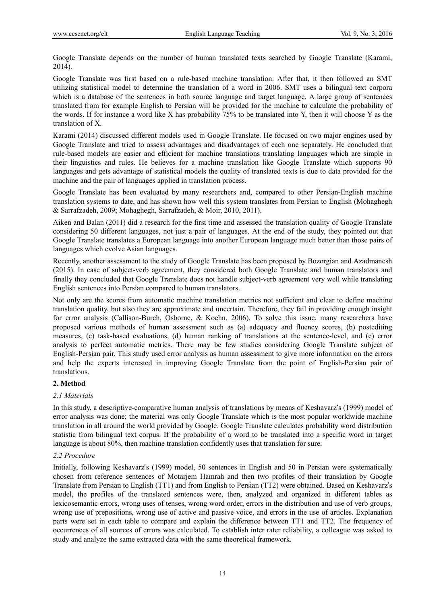Google Translate depends on the number of human translated texts searched by Google Translate (Karami, 2014).

Google Translate was first based on a rule-based machine translation. After that, it then followed an SMT utilizing statistical model to determine the translation of a word in 2006. SMT uses a bilingual text corpora which is a database of the sentences in both source language and target language. A large group of sentences translated from for example English to Persian will be provided for the machine to calculate the probability of the words. If for instance a word like X has probability 75% to be translated into Y, then it will choose Y as the translation of X.

Karami (2014) discussed different models used in Google Translate. He focused on two major engines used by Google Translate and tried to assess advantages and disadvantages of each one separately. He concluded that rule-based models are easier and efficient for machine translations translating languages which are simple in their linguistics and rules. He believes for a machine translation like Google Translate which supports 90 languages and gets advantage of statistical models the quality of translated texts is due to data provided for the machine and the pair of languages applied in translation process.

Google Translate has been evaluated by many researchers and, compared to other Persian-English machine translation systems to date, and has shown how well this system translates from Persian to English (Mohaghegh & Sarrafzadeh, 2009; Mohaghegh, Sarrafzadeh, & Moir, 2010, 2011).

Aiken and Balan (2011) did a research for the first time and assessed the translation quality of Google Translate considering 50 different languages, not just a pair of languages. At the end of the study, they pointed out that Google Translate translates a European language into another European language much better than those pairs of languages which evolve Asian languages.

Recently, another assessment to the study of Google Translate has been proposed by Bozorgian and Azadmanesh (2015). In case of subject-verb agreement, they considered both Google Translate and human translators and finally they concluded that Google Translate does not handle subject-verb agreement very well while translating English sentences into Persian compared to human translators.

Not only are the scores from automatic machine translation metrics not sufficient and clear to define machine translation quality, but also they are approximate and uncertain. Therefore, they fail in providing enough insight for error analysis (Callison-Burch, Osborne, & Koehn, 2006). To solve this issue, many researchers have proposed various methods of human assessment such as (a) adequacy and fluency scores, (b) postediting measures, (c) task-based evaluations, (d) human ranking of translations at the sentence-level, and (e) error analysis to perfect automatic metrics. There may be few studies considering Google Translate subject of English-Persian pair. This study used error analysis as human assessment to give more information on the errors and help the experts interested in improving Google Translate from the point of English-Persian pair of translations.

# **2. Method**

### *2.1 Materials*

In this study, a descriptive-comparative human analysis of translations by means of Keshavarz's (1999) model of error analysis was done; the material was only Google Translate which is the most popular worldwide machine translation in all around the world provided by Google. Google Translate calculates probability word distribution statistic from bilingual text corpus. If the probability of a word to be translated into a specific word in target language is about 80%, then machine translation confidently uses that translation for sure.

## *2.2 Procedure*

Initially, following Keshavarz's (1999) model, 50 sentences in English and 50 in Persian were systematically chosen from reference sentences of Motarjem Hamrah and then two profiles of their translation by Google Translate from Persian to English (TT1) and from English to Persian (TT2) were obtained. Based on Keshavarz's model, the profiles of the translated sentences were, then, analyzed and organized in different tables as lexicosemantic errors, wrong uses of tenses, wrong word order, errors in the distribution and use of verb groups, wrong use of prepositions, wrong use of active and passive voice, and errors in the use of articles. Explanation parts were set in each table to compare and explain the difference between TT1 and TT2. The frequency of occurrences of all sources of errors was calculated. To establish inter rater reliability, a colleague was asked to study and analyze the same extracted data with the same theoretical framework.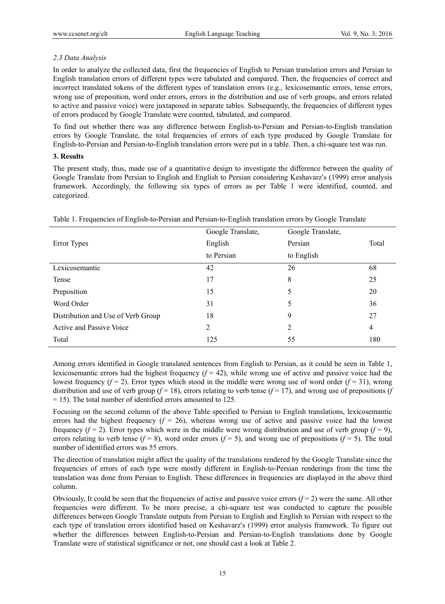## *2.3 Data Analysis*

In order to analyze the collected data, first the frequencies of English to Persian translation errors and Persian to English translation errors of different types were tabulated and compared. Then, the frequencies of correct and incorrect translated tokens of the different types of translation errors (e.g., lexicosemantic errors, tense errors, wrong use of preposition, word order errors, errors in the distribution and use of verb groups, and errors related to active and passive voice) were juxtaposed in separate tables. Subsequently, the frequencies of different types of errors produced by Google Translate were counted, tabulated, and compared.

To find out whether there was any difference between English-to-Persian and Persian-to-English translation errors by Google Translate, the total frequencies of errors of each type produced by Google Translate for English-to-Persian and Persian-to-English translation errors were put in a table. Then, a chi-square test was run.

### **3. Results**

The present study, thus, made use of a quantitative design to investigate the difference between the quality of Google Translate from Persian to English and English to Persian considering Keshavarz's (1999) error analysis framework. Accordingly, the following six types of errors as per Table 1 were identified, counted, and categorized.

|                                    | Google Translate, | Google Translate, |       |
|------------------------------------|-------------------|-------------------|-------|
| Error Types                        | English           | Persian           | Total |
|                                    | to Persian        | to English        |       |
| Lexicosemantic                     | 42                | 26                | 68    |
| Tense                              | 17                | 8                 | 25    |
| Preposition                        | 15                | 5                 | 20    |
| Word Order                         | 31                | 5                 | 36    |
| Distribution and Use of Verb Group | 18                | 9                 | 27    |
| Active and Passive Voice           | 2                 | 2                 | 4     |
| Total                              | 125               | 55                | 180   |
|                                    |                   |                   |       |

Table 1. Frequencies of English-to-Persian and Persian-to-English translation errors by Google Translate

Among errors identified in Google translated sentences from English to Persian, as it could be seen in Table 1, lexicosemantic errors had the highest frequency  $(f = 42)$ , while wrong use of active and passive voice had the lowest frequency  $(f = 2)$ . Error types which stood in the middle were wrong use of word order  $(f = 31)$ , wrong distribution and use of verb group  $(f = 18)$ , errors relating to verb tense  $(f = 17)$ , and wrong use of prepositions  $(f$ = 15). The total number of identified errors amounted to 125.

Focusing on the second column of the above Table specified to Persian to English translations, lexicosemantic errors had the highest frequency  $(f = 26)$ , whereas wrong use of active and passive voice had the lowest frequency  $(f=2)$ . Error types which were in the middle were wrong distribution and use of verb group  $(f=9)$ , errors relating to verb tense ( $f = 8$ ), word order errors ( $f = 5$ ), and wrong use of prepositions ( $f = 5$ ). The total number of identified errors was 55 errors.

The direction of translation might affect the quality of the translations rendered by the Google Translate since the frequencies of errors of each type were mostly different in English-to-Persian renderings from the time the translation was done from Persian to English. These differences in frequencies are displayed in the above third column.

Obviously, It could be seen that the frequencies of active and passive voice errors  $(f = 2)$  were the same. All other frequencies were different. To be more precise, a chi-square test was conducted to capture the possible differences between Google Translate outputs from Persian to English and English to Persian with respect to the each type of translation errors identified based on Keshavarz's (1999) error analysis framework. To figure out whether the differences between English-to-Persian and Persian-to-English translations done by Google Translate were of statistical significance or not, one should cast a look at Table 2.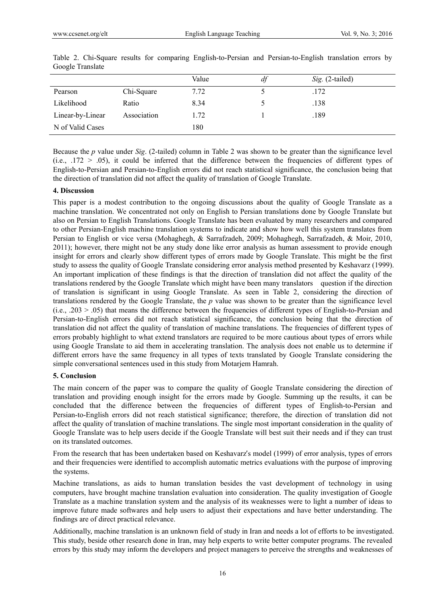|                  |             | Value | df | Sig. (2-tailed) |
|------------------|-------------|-------|----|-----------------|
| Pearson          | Chi-Square  | 7.72  |    | .172            |
| Likelihood       | Ratio       | 8.34  |    | .138            |
| Linear-by-Linear | Association | 1.72  |    | .189            |
| N of Valid Cases |             | 180   |    |                 |

Table 2. Chi-Square results for comparing English-to-Persian and Persian-to-English translation errors by Google Translate

Because the *p* value under *Sig*. (2-tailed) column in Table 2 was shown to be greater than the significance level (i.e.,  $.172 > .05$ ), it could be inferred that the difference between the frequencies of different types of English-to-Persian and Persian-to-English errors did not reach statistical significance, the conclusion being that the direction of translation did not affect the quality of translation of Google Translate.

#### **4. Discussion**

This paper is a modest contribution to the ongoing discussions about the quality of Google Translate as a machine translation. We concentrated not only on English to Persian translations done by Google Translate but also on Persian to English Translations. Google Translate has been evaluated by many researchers and compared to other Persian-English machine translation systems to indicate and show how well this system translates from Persian to English or vice versa (Mohaghegh, & Sarrafzadeh, 2009; Mohaghegh, Sarrafzadeh, & Moir, 2010, 2011); however, there might not be any study done like error analysis as human assessment to provide enough insight for errors and clearly show different types of errors made by Google Translate. This might be the first study to assess the quality of Google Translate considering error analysis method presented by Keshavarz (1999). An important implication of these findings is that the direction of translation did not affect the quality of the translations rendered by the Google Translate which might have been many translators question if the direction of translation is significant in using Google Translate. As seen in Table 2, considering the direction of translations rendered by the Google Translate, the *p* value was shown to be greater than the significance level  $(i.e., 0.203 > 0.05)$  that means the difference between the frequencies of different types of English-to-Persian and Persian-to-English errors did not reach statistical significance, the conclusion being that the direction of translation did not affect the quality of translation of machine translations. The frequencies of different types of errors probably highlight to what extend translators are required to be more cautious about types of errors while using Google Translate to aid them in accelerating translation. The analysis does not enable us to determine if different errors have the same frequency in all types of texts translated by Google Translate considering the simple conversational sentences used in this study from Motarjem Hamrah.

### **5. Conclusion**

The main concern of the paper was to compare the quality of Google Translate considering the direction of translation and providing enough insight for the errors made by Google. Summing up the results, it can be concluded that the difference between the frequencies of different types of English-to-Persian and Persian-to-English errors did not reach statistical significance; therefore, the direction of translation did not affect the quality of translation of machine translations. The single most important consideration in the quality of Google Translate was to help users decide if the Google Translate will best suit their needs and if they can trust on its translated outcomes.

From the research that has been undertaken based on Keshavarz's model (1999) of error analysis, types of errors and their frequencies were identified to accomplish automatic metrics evaluations with the purpose of improving the systems.

Machine translations, as aids to human translation besides the vast development of technology in using computers, have brought machine translation evaluation into consideration. The quality investigation of Google Translate as a machine translation system and the analysis of its weaknesses were to light a number of ideas to improve future made softwares and help users to adjust their expectations and have better understanding. The findings are of direct practical relevance.

Additionally, machine translation is an unknown field of study in Iran and needs a lot of efforts to be investigated. This study, beside other research done in Iran, may help experts to write better computer programs. The revealed errors by this study may inform the developers and project managers to perceive the strengths and weaknesses of